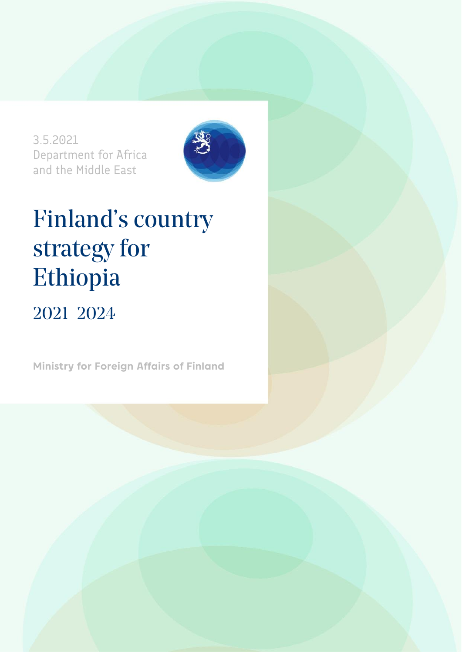3.5.2021 Department for Africa and the Middle East



# Finland's country strategy for Ethiopia 2021–2024

**Ministry for Foreign Affairs of Finland**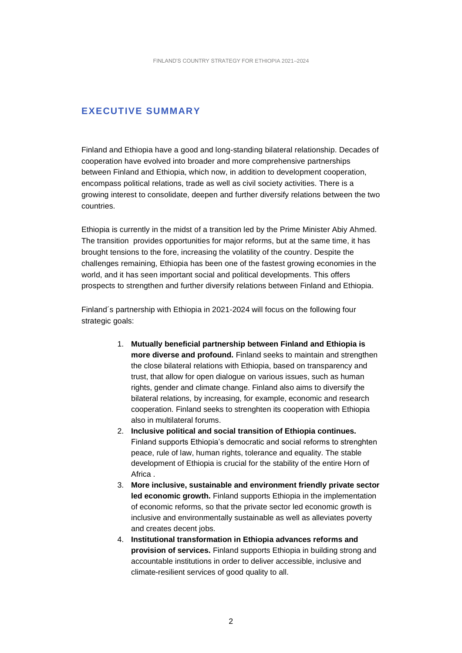#### **EXECUTIVE SUMMARY**

Finland and Ethiopia have a good and long-standing bilateral relationship. Decades of cooperation have evolved into broader and more comprehensive partnerships between Finland and Ethiopia, which now, in addition to development cooperation, encompass political relations, trade as well as civil society activities. There is a growing interest to consolidate, deepen and further diversify relations between the two countries.

Ethiopia is currently in the midst of a transition led by the Prime Minister Abiy Ahmed. The transition provides opportunities for major reforms, but at the same time, it has brought tensions to the fore, increasing the volatility of the country. Despite the challenges remaining, Ethiopia has been one of the fastest growing economies in the world, and it has seen important social and political developments. This offers prospects to strengthen and further diversify relations between Finland and Ethiopia.

Finland´s partnership with Ethiopia in 2021-2024 will focus on the following four strategic goals:

- 1. **Mutually beneficial partnership between Finland and Ethiopia is more diverse and profound.** Finland seeks to maintain and strengthen the close bilateral relations with Ethiopia, based on transparency and trust, that allow for open dialogue on various issues, such as human rights, gender and climate change. Finland also aims to diversify the bilateral relations, by increasing, for example, economic and research cooperation. Finland seeks to strenghten its cooperation with Ethiopia also in multilateral forums.
- 2. **Inclusive political and social transition of Ethiopia continues.** Finland supports Ethiopia's democratic and social reforms to strenghten peace, rule of law, human rights, tolerance and equality. The stable development of Ethiopia is crucial for the stability of the entire Horn of Africa .
- 3. **More inclusive, sustainable and environment friendly private sector led economic growth.** Finland supports Ethiopia in the implementation of economic reforms, so that the private sector led economic growth is inclusive and environmentally sustainable as well as alleviates poverty and creates decent jobs.
- 4. **Institutional transformation in Ethiopia advances reforms and provision of services.** Finland supports Ethiopia in building strong and accountable institutions in order to deliver accessible, inclusive and climate-resilient services of good quality to all.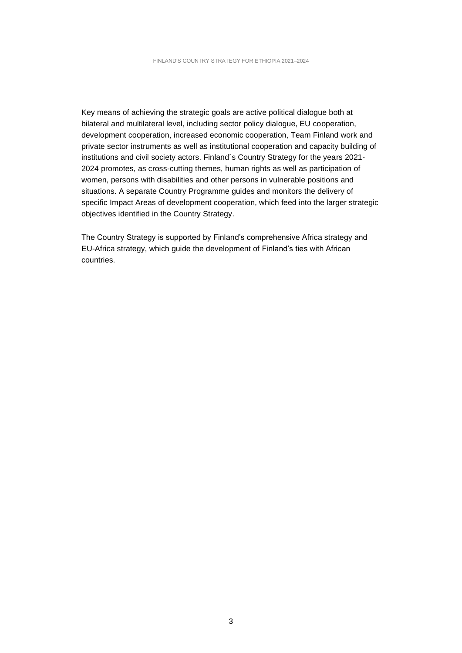Key means of achieving the strategic goals are active political dialogue both at bilateral and multilateral level, including sector policy dialogue, EU cooperation, development cooperation, increased economic cooperation, Team Finland work and private sector instruments as well as institutional cooperation and capacity building of institutions and civil society actors. Finland´s Country Strategy for the years 2021- 2024 promotes, as cross-cutting themes, human rights as well as participation of women, persons with disabilities and other persons in vulnerable positions and situations. A separate Country Programme guides and monitors the delivery of specific Impact Areas of development cooperation, which feed into the larger strategic objectives identified in the Country Strategy.

The Country Strategy is supported by Finland's comprehensive Africa strategy and EU-Africa strategy, which guide the development of Finland's ties with African countries.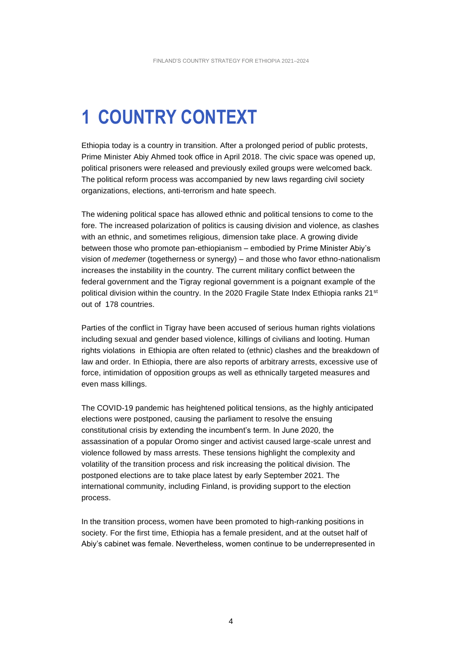# **1 COUNTRY CONTEXT**

Ethiopia today is a country in transition. After a prolonged period of public protests, Prime Minister Abiy Ahmed took office in April 2018. The civic space was opened up, political prisoners were released and previously exiled groups were welcomed back. The political reform process was accompanied by new laws regarding civil society organizations, elections, anti-terrorism and hate speech.

The widening political space has allowed ethnic and political tensions to come to the fore. The increased polarization of politics is causing division and violence, as clashes with an ethnic, and sometimes religious, dimension take place. A growing divide between those who promote pan-ethiopianism – embodied by Prime Minister Abiy's vision of *medemer* (togetherness or synergy) – and those who favor ethno-nationalism increases the instability in the country. The current military conflict between the federal government and the Tigray regional government is a poignant example of the political division within the country. In the 2020 Fragile State Index Ethiopia ranks 21<sup>st</sup> out of 178 countries.

Parties of the conflict in Tigray have been accused of serious human rights violations including sexual and gender based violence, killings of civilians and looting. Human rights violations in Ethiopia are often related to (ethnic) clashes and the breakdown of law and order. In Ethiopia, there are also reports of arbitrary arrests, excessive use of force, intimidation of opposition groups as well as ethnically targeted measures and even mass killings.

The COVID-19 pandemic has heightened political tensions, as the highly anticipated elections were postponed, causing the parliament to resolve the ensuing constitutional crisis by extending the incumbent's term. In June 2020, the assassination of a popular Oromo singer and activist caused large-scale unrest and violence followed by mass arrests. These tensions highlight the complexity and volatility of the transition process and risk increasing the political division. The postponed elections are to take place latest by early September 2021. The international community, including Finland, is providing support to the election process.

In the transition process, women have been promoted to high-ranking positions in society. For the first time, Ethiopia has a female president, and at the outset half of Abiy's cabinet was female. Nevertheless, women continue to be underrepresented in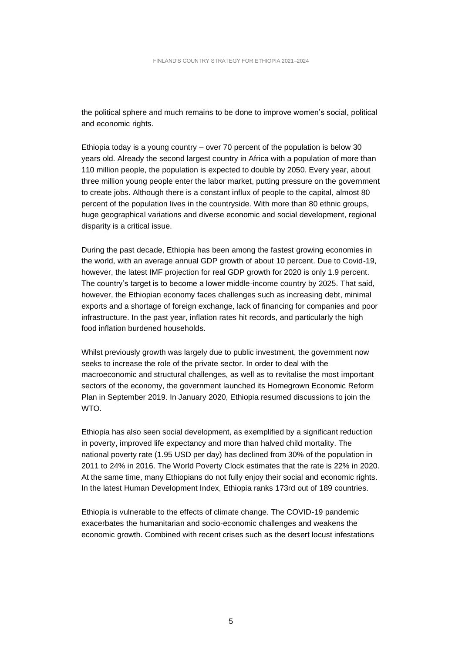the political sphere and much remains to be done to improve women's social, political and economic rights.

Ethiopia today is a young country – over 70 percent of the population is below 30 years old. Already the second largest country in Africa with a population of more than 110 million people, the population is expected to double by 2050. Every year, about three million young people enter the labor market, putting pressure on the government to create jobs. Although there is a constant influx of people to the capital, almost 80 percent of the population lives in the countryside. With more than 80 ethnic groups, huge geographical variations and diverse economic and social development, regional disparity is a critical issue.

During the past decade, Ethiopia has been among the fastest growing economies in the world, with an average annual GDP growth of about 10 percent. Due to Covid-19, however, the latest IMF projection for real GDP growth for 2020 is only 1.9 percent. The country's target is to become a lower middle-income country by 2025. That said, however, the Ethiopian economy faces challenges such as increasing debt, minimal exports and a shortage of foreign exchange, lack of financing for companies and poor infrastructure. In the past year, inflation rates hit records, and particularly the high food inflation burdened households.

Whilst previously growth was largely due to public investment, the government now seeks to increase the role of the private sector. In order to deal with the macroeconomic and structural challenges, as well as to revitalise the most important sectors of the economy, the government launched its Homegrown Economic Reform Plan in September 2019. In January 2020, Ethiopia resumed discussions to join the WTO.

Ethiopia has also seen social development, as exemplified by a significant reduction in poverty, improved life expectancy and more than halved child mortality. The national poverty rate (1.95 USD per day) has declined from 30% of the population in 2011 to 24% in 2016. The World Poverty Clock estimates that the rate is 22% in 2020. At the same time, many Ethiopians do not fully enjoy their social and economic rights. In the latest Human Development Index, Ethiopia ranks 173rd out of 189 countries.

Ethiopia is vulnerable to the effects of climate change. The COVID-19 pandemic exacerbates the humanitarian and socio-economic challenges and weakens the economic growth. Combined with recent crises such as the desert locust infestations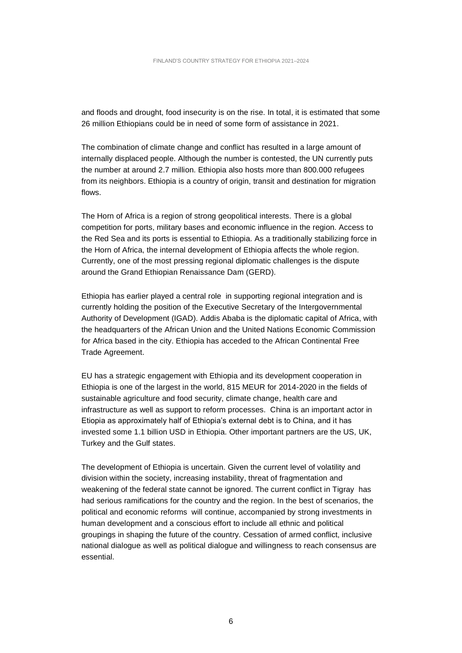and floods and drought, food insecurity is on the rise. In total, it is estimated that some 26 million Ethiopians could be in need of some form of assistance in 2021.

The combination of climate change and conflict has resulted in a large amount of internally displaced people. Although the number is contested, the UN currently puts the number at around 2.7 million. Ethiopia also hosts more than 800.000 refugees from its neighbors. Ethiopia is a country of origin, transit and destination for migration flows.

The Horn of Africa is a region of strong geopolitical interests. There is a global competition for ports, military bases and economic influence in the region. Access to the Red Sea and its ports is essential to Ethiopia. As a traditionally stabilizing force in the Horn of Africa, the internal development of Ethiopia affects the whole region. Currently, one of the most pressing regional diplomatic challenges is the dispute around the Grand Ethiopian Renaissance Dam (GERD).

Ethiopia has earlier played a central role in supporting regional integration and is currently holding the position of the Executive Secretary of the Intergovernmental Authority of Development (IGAD). Addis Ababa is the diplomatic capital of Africa, with the headquarters of the African Union and the United Nations Economic Commission for Africa based in the city. Ethiopia has acceded to the African Continental Free Trade Agreement.

EU has a strategic engagement with Ethiopia and its development cooperation in Ethiopia is one of the largest in the world, 815 MEUR for 2014-2020 in the fields of sustainable agriculture and food security, climate change, health care and infrastructure as well as support to reform processes. China is an important actor in Etiopia as approximately half of Ethiopia's external debt is to China, and it has invested some 1.1 billion USD in Ethiopia. Other important partners are the US, UK, Turkey and the Gulf states.

The development of Ethiopia is uncertain. Given the current level of volatility and division within the society, increasing instability, threat of fragmentation and weakening of the federal state cannot be ignored. The current conflict in Tigray has had serious ramifications for the country and the region. In the best of scenarios, the political and economic reforms will continue, accompanied by strong investments in human development and a conscious effort to include all ethnic and political groupings in shaping the future of the country. Cessation of armed conflict, inclusive national dialogue as well as political dialogue and willingness to reach consensus are essential.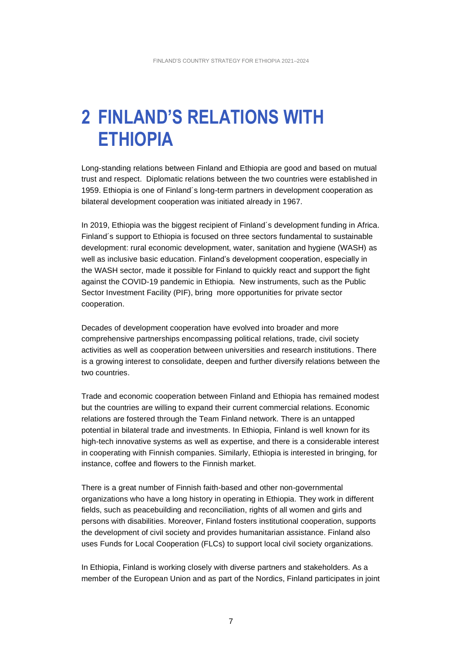## **2 FINLAND'S RELATIONS WITH ETHIOPIA**

Long-standing relations between Finland and Ethiopia are good and based on mutual trust and respect. Diplomatic relations between the two countries were established in 1959. Ethiopia is one of Finland´s long-term partners in development cooperation as bilateral development cooperation was initiated already in 1967.

In 2019, Ethiopia was the biggest recipient of Finland´s development funding in Africa. Finland´s support to Ethiopia is focused on three sectors fundamental to sustainable development: rural economic development, water, sanitation and hygiene (WASH) as well as inclusive basic education. Finland's development cooperation, especially in the WASH sector, made it possible for Finland to quickly react and support the fight against the COVID-19 pandemic in Ethiopia. New instruments, such as the Public Sector Investment Facility (PIF), bring more opportunities for private sector cooperation.

Decades of development cooperation have evolved into broader and more comprehensive partnerships encompassing political relations, trade, civil society activities as well as cooperation between universities and research institutions. There is a growing interest to consolidate, deepen and further diversify relations between the two countries.

Trade and economic cooperation between Finland and Ethiopia has remained modest but the countries are willing to expand their current commercial relations. Economic relations are fostered through the Team Finland network. There is an untapped potential in bilateral trade and investments. In Ethiopia, Finland is well known for its high-tech innovative systems as well as expertise, and there is a considerable interest in cooperating with Finnish companies. Similarly, Ethiopia is interested in bringing, for instance, coffee and flowers to the Finnish market.

There is a great number of Finnish faith-based and other non-governmental organizations who have a long history in operating in Ethiopia. They work in different fields, such as peacebuilding and reconciliation, rights of all women and girls and persons with disabilities. Moreover, Finland fosters institutional cooperation, supports the development of civil society and provides humanitarian assistance. Finland also uses Funds for Local Cooperation (FLCs) to support local civil society organizations.

In Ethiopia, Finland is working closely with diverse partners and stakeholders. As a member of the European Union and as part of the Nordics, Finland participates in joint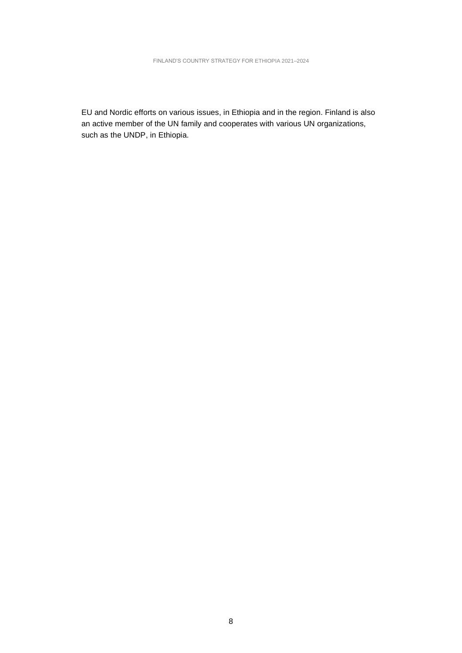EU and Nordic efforts on various issues, in Ethiopia and in the region. Finland is also an active member of the UN family and cooperates with various UN organizations, such as the UNDP, in Ethiopia.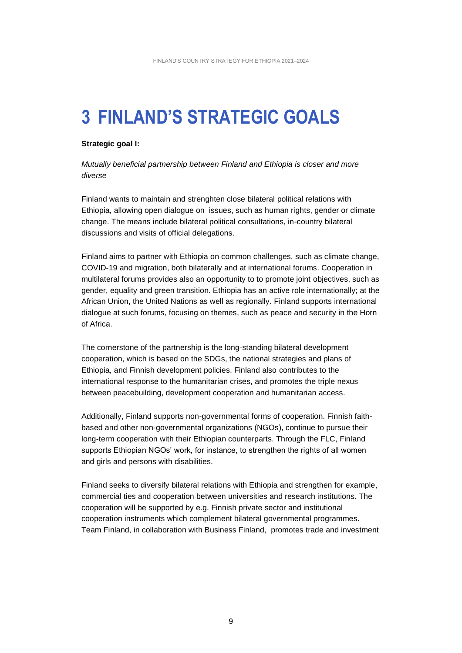# **3 FINLAND'S STRATEGIC GOALS**

#### **Strategic goal I:**

*Mutually beneficial partnership between Finland and Ethiopia is closer and more diverse*

Finland wants to maintain and strenghten close bilateral political relations with Ethiopia, allowing open dialogue on issues, such as human rights, gender or climate change. The means include bilateral political consultations, in-country bilateral discussions and visits of official delegations.

Finland aims to partner with Ethiopia on common challenges, such as climate change, COVID-19 and migration, both bilaterally and at international forums. Cooperation in multilateral forums provides also an opportunity to to promote joint objectives, such as gender, equality and green transition. Ethiopia has an active role internationally; at the African Union, the United Nations as well as regionally. Finland supports international dialogue at such forums, focusing on themes, such as peace and security in the Horn of Africa.

The cornerstone of the partnership is the long-standing bilateral development cooperation, which is based on the SDGs, the national strategies and plans of Ethiopia, and Finnish development policies. Finland also contributes to the international response to the humanitarian crises, and promotes the triple nexus between peacebuilding, development cooperation and humanitarian access.

Additionally, Finland supports non-governmental forms of cooperation. Finnish faithbased and other non-governmental organizations (NGOs), continue to pursue their long-term cooperation with their Ethiopian counterparts. Through the FLC, Finland supports Ethiopian NGOs' work, for instance, to strengthen the rights of all women and girls and persons with disabilities.

Finland seeks to diversify bilateral relations with Ethiopia and strengthen for example, commercial ties and cooperation between universities and research institutions. The cooperation will be supported by e.g. Finnish private sector and institutional cooperation instruments which complement bilateral governmental programmes. Team Finland, in collaboration with Business Finland, promotes trade and investment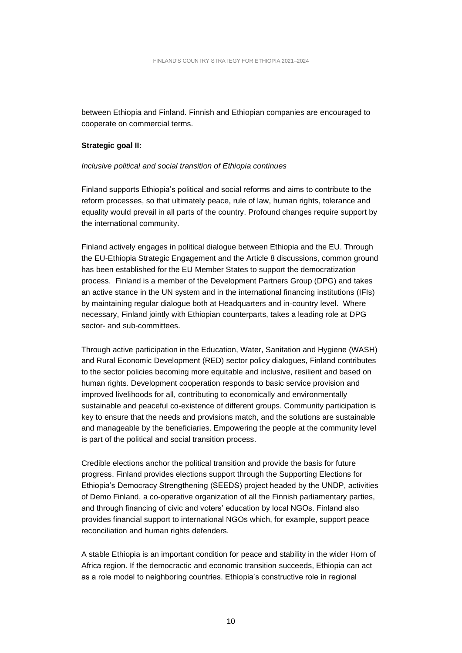between Ethiopia and Finland. Finnish and Ethiopian companies are encouraged to cooperate on commercial terms.

#### **Strategic goal II:**

#### *Inclusive political and social transition of Ethiopia continues*

Finland supports Ethiopia's political and social reforms and aims to contribute to the reform processes, so that ultimately peace, rule of law, human rights, tolerance and equality would prevail in all parts of the country. Profound changes require support by the international community.

Finland actively engages in political dialogue between Ethiopia and the EU. Through the EU-Ethiopia Strategic Engagement and the Article 8 discussions, common ground has been established for the EU Member States to support the democratization process. Finland is a member of the Development Partners Group (DPG) and takes an active stance in the UN system and in the international financing institutions (IFIs) by maintaining regular dialogue both at Headquarters and in-country level. Where necessary, Finland jointly with Ethiopian counterparts, takes a leading role at DPG sector- and sub-committees.

Through active participation in the Education, Water, Sanitation and Hygiene (WASH) and Rural Economic Development (RED) sector policy dialogues, Finland contributes to the sector policies becoming more equitable and inclusive, resilient and based on human rights. Development cooperation responds to basic service provision and improved livelihoods for all, contributing to economically and environmentally sustainable and peaceful co-existence of different groups. Community participation is key to ensure that the needs and provisions match, and the solutions are sustainable and manageable by the beneficiaries. Empowering the people at the community level is part of the political and social transition process.

Credible elections anchor the political transition and provide the basis for future progress. Finland provides elections support through the Supporting Elections for Ethiopia's Democracy Strengthening (SEEDS) project headed by the UNDP, activities of Demo Finland, a co-operative organization of all the Finnish parliamentary parties, and through financing of civic and voters' education by local NGOs. Finland also provides financial support to international NGOs which, for example, support peace reconciliation and human rights defenders.

A stable Ethiopia is an important condition for peace and stability in the wider Horn of Africa region. If the democractic and economic transition succeeds, Ethiopia can act as a role model to neighboring countries. Ethiopia's constructive role in regional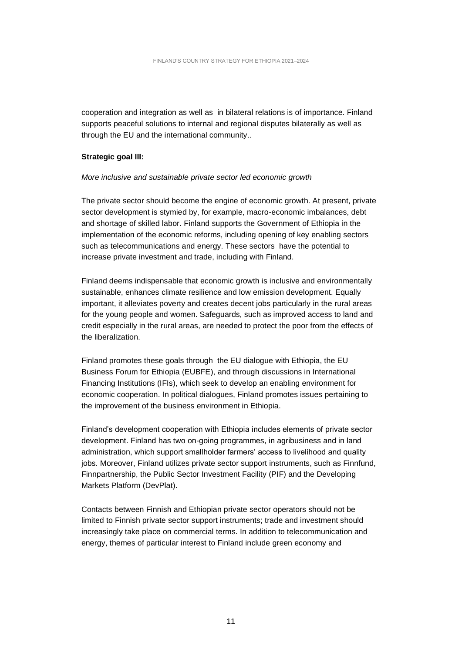cooperation and integration as well as in bilateral relations is of importance. Finland supports peaceful solutions to internal and regional disputes bilaterally as well as through the EU and the international community..

#### **Strategic goal III:**

#### *More inclusive and sustainable private sector led economic growth*

The private sector should become the engine of economic growth. At present, private sector development is stymied by, for example, macro-economic imbalances, debt and shortage of skilled labor. Finland supports the Government of Ethiopia in the implementation of the economic reforms, including opening of key enabling sectors such as telecommunications and energy. These sectors have the potential to increase private investment and trade, including with Finland.

Finland deems indispensable that economic growth is inclusive and environmentally sustainable, enhances climate resilience and low emission development. Equally important, it alleviates poverty and creates decent jobs particularly in the rural areas for the young people and women. Safeguards, such as improved access to land and credit especially in the rural areas, are needed to protect the poor from the effects of the liberalization.

Finland promotes these goals through the EU dialogue with Ethiopia, the EU Business Forum for Ethiopia (EUBFE), and through discussions in International Financing Institutions (IFIs), which seek to develop an enabling environment for economic cooperation. In political dialogues, Finland promotes issues pertaining to the improvement of the business environment in Ethiopia.

Finland's development cooperation with Ethiopia includes elements of private sector development. Finland has two on-going programmes, in agribusiness and in land administration, which support smallholder farmers' access to livelihood and quality jobs. Moreover, Finland utilizes private sector support instruments, such as Finnfund, Finnpartnership, the Public Sector Investment Facility (PIF) and the Developing Markets Platform (DevPlat).

Contacts between Finnish and Ethiopian private sector operators should not be limited to Finnish private sector support instruments; trade and investment should increasingly take place on commercial terms. In addition to telecommunication and energy, themes of particular interest to Finland include green economy and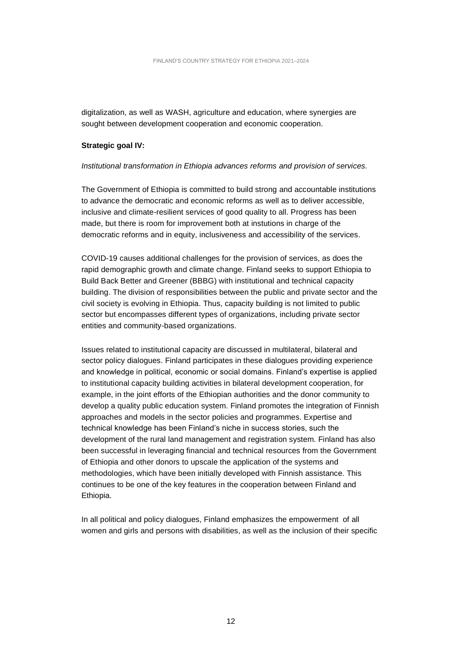digitalization, as well as WASH, agriculture and education, where synergies are sought between development cooperation and economic cooperation.

#### **Strategic goal IV:**

#### *Institutional transformation in Ethiopia advances reforms and provision of services.*

The Government of Ethiopia is committed to build strong and accountable institutions to advance the democratic and economic reforms as well as to deliver accessible, inclusive and climate-resilient services of good quality to all. Progress has been made, but there is room for improvement both at instutions in charge of the democratic reforms and in equity, inclusiveness and accessibility of the services.

COVID-19 causes additional challenges for the provision of services, as does the rapid demographic growth and climate change. Finland seeks to support Ethiopia to Build Back Better and Greener (BBBG) with institutional and technical capacity building. The division of responsibilities between the public and private sector and the civil society is evolving in Ethiopia. Thus, capacity building is not limited to public sector but encompasses different types of organizations, including private sector entities and community-based organizations.

Issues related to institutional capacity are discussed in multilateral, bilateral and sector policy dialogues. Finland participates in these dialogues providing experience and knowledge in political, economic or social domains. Finland's expertise is applied to institutional capacity building activities in bilateral development cooperation, for example, in the joint efforts of the Ethiopian authorities and the donor community to develop a quality public education system. Finland promotes the integration of Finnish approaches and models in the sector policies and programmes. Expertise and technical knowledge has been Finland's niche in success stories, such the development of the rural land management and registration system. Finland has also been successful in leveraging financial and technical resources from the Government of Ethiopia and other donors to upscale the application of the systems and methodologies, which have been initially developed with Finnish assistance. This continues to be one of the key features in the cooperation between Finland and Ethiopia.

In all political and policy dialogues, Finland emphasizes the empowerment of all women and girls and persons with disabilities, as well as the inclusion of their specific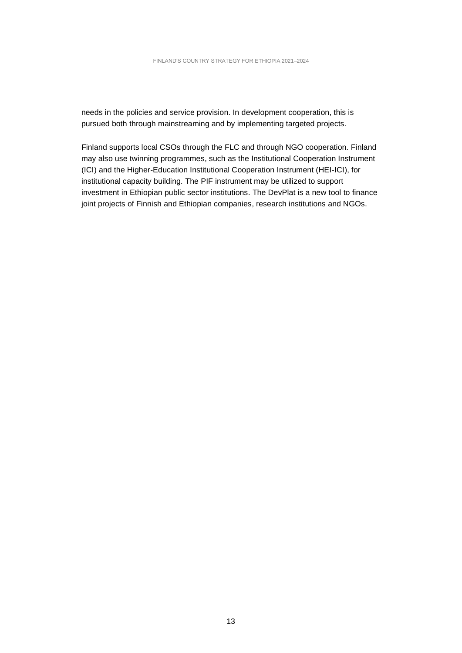needs in the policies and service provision. In development cooperation, this is pursued both through mainstreaming and by implementing targeted projects.

Finland supports local CSOs through the FLC and through NGO cooperation. Finland may also use twinning programmes, such as the Institutional Cooperation Instrument (ICI) and the Higher-Education Institutional Cooperation Instrument (HEI-ICI), for institutional capacity building. The PIF instrument may be utilized to support investment in Ethiopian public sector institutions. The DevPlat is a new tool to finance joint projects of Finnish and Ethiopian companies, research institutions and NGOs.